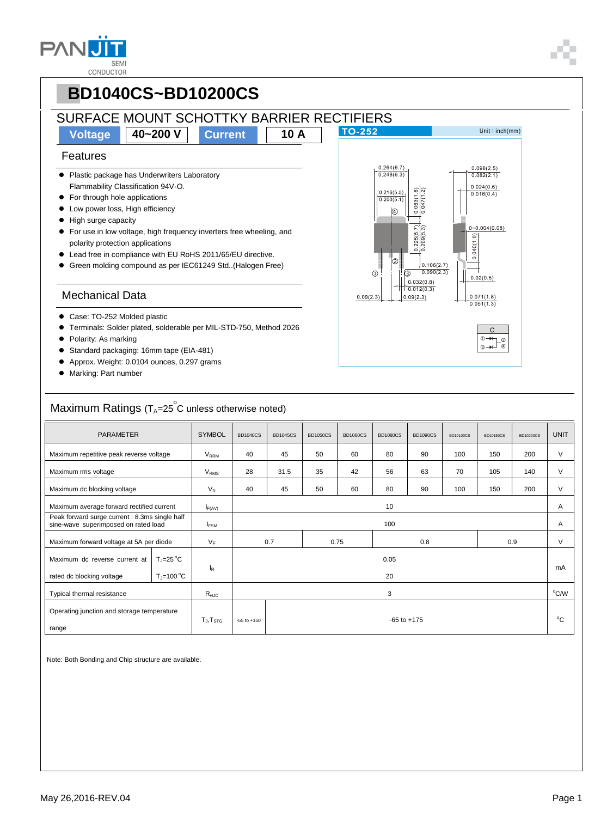

#### **PBD1040CS~BD10200CS** SURFACE MOUNT SCHOTTKY BARRIER RECTIFIERS Unit: $inch(mm)$ **Voltage 40~200 V Current 10 A** Features  $\frac{0.098(2.5)}{0.082(2.1)}$  $0.264(6.7)$ • Plastic package has Underwriters Laboratory  $0.248(6.3)$ Flammability Classification 94V-O.  $\frac{0.024(0.6)}{0.016(0.4)}$  $0.216(5.5)$ **•** For through hole applications  $0.200(5.1)$  $\bullet$  Low power loss, High efficiency  $\sqrt{a}$  High surge capacity  $0 - 0.004(0.08)$  For use in low voltage, high frequency inverters free wheeling, and  $0.040(1.0)$ polarity protection applications Lead free in compliance with EU RoHS 2011/65/EU directive.  $0.106(2.7)$  Green molding compound as per IEC61249 Std..(Halogen Free)  $\bigcirc$  $0.090(2.3)$  $\mathcal{O}$  $0.02(0.5)$  $0.032(0.8)$  $0.012(0.3)$ Mechanical Data  $0.071(1.8)$  $0.09(2.3)$  $0.09(2.3)$  $0.051(1.3)$ ● Case: TO-252 Molded plastic Terminals: Solder plated, solderable per MIL-STD-750, Method 2026 • Polarity: As marking Standard packaging: 16mm tape (EIA-481) Approx. Weight: 0.0104 ounces, 0.297 grams Marking: Part number  $\mathsf{Maximum}$  Ratings (T $_{\mathsf{A}}$ =25 $^\circ$ C unless otherwise noted) PARAMETER SYMBOL BD1040CS BD1045CS BD1050CS BD1060CS BD1080CS BD1090CS BD10100CS BD10150CS BD10200CS UNIT Maximum repetitive peak reverse voltage | V<sub>RRM</sub> | 40 | 45 | 50 | 60 | 80 | 90 | 100 | 150 | 200 | V Maximum rms voltage VRMS 28 31.5 35 42 56 63 70 105 140 V Maximum dc blocking voltage  $V_R$  | 40 | 45 | 50 | 60 | 80 | 90 | 100 | 150 | 200 | V Maximum average forward rectified current  $\begin{vmatrix} 1_{F(AV)} & 10 & 10 \\ 1 & 10 & 10 \\ 1 & 10 & 10 \\ 10 & 10 & 10 \end{vmatrix}$ Peak forward surge current : 8.3ms single half sine-wave superimposed on rated load IFSM 100 A Maximum forward voltage at 5A per diode  $V_F$  0.7 0.75 0.8 0.8 0.9 V 0.05  $T_J=25^\circ C$ Maximum dc reverse current at IR mA  $T_J=100\,^{\circ}\mathrm{C}$ rated dc blocking voltage 20 Typical thermal resistance  $R_{\text{euc}}$   $R_{\text{euc}}$  3 °C/W Operating junction and storage temperature  $T_{\text{J}}$ ,  $T_{\text{STG}}$   $\phantom{0}$  -55 to +150  $\phantom{0}$  $^{\circ}$ C range

Note: Both Bonding and Chip structure are available.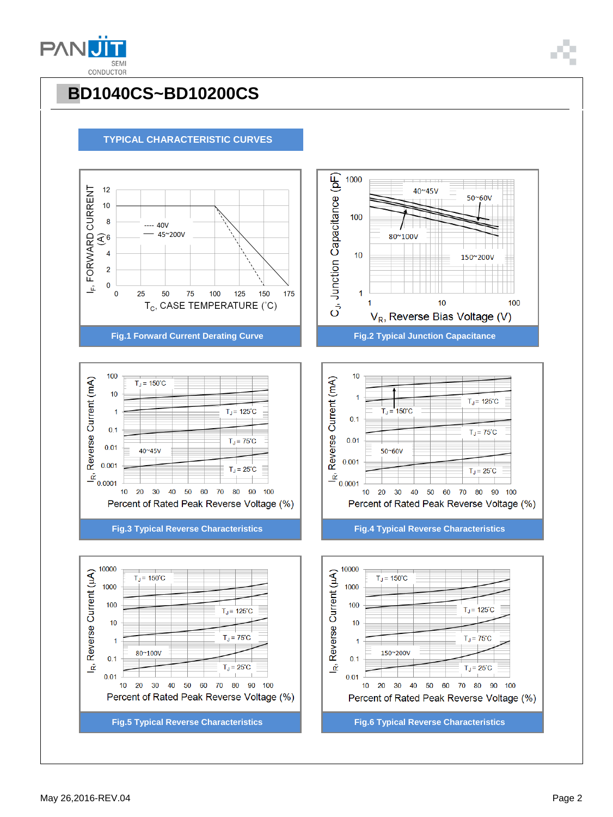



#### **TYPICAL CHARACTERISTIC CURVES**







1000

100

 $10$ 





40~45V

80~100V

50~60V

150~200V

100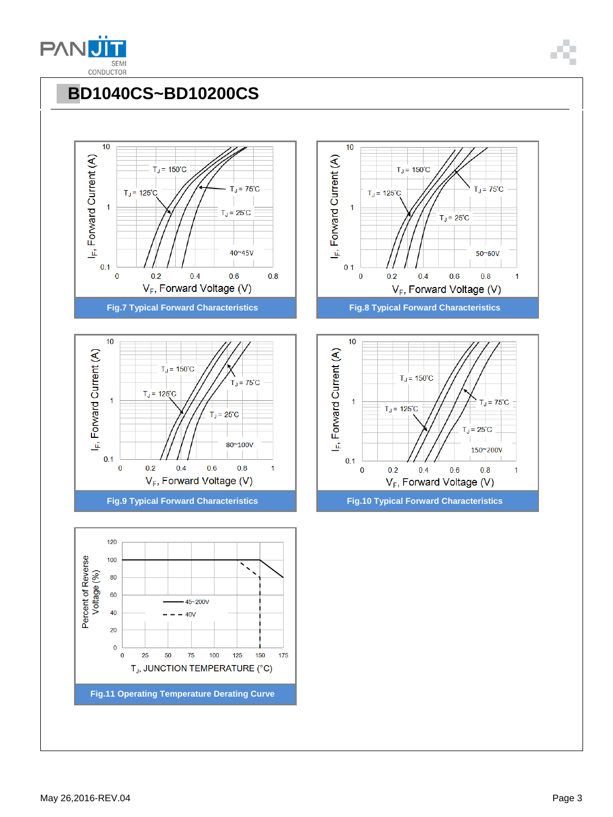











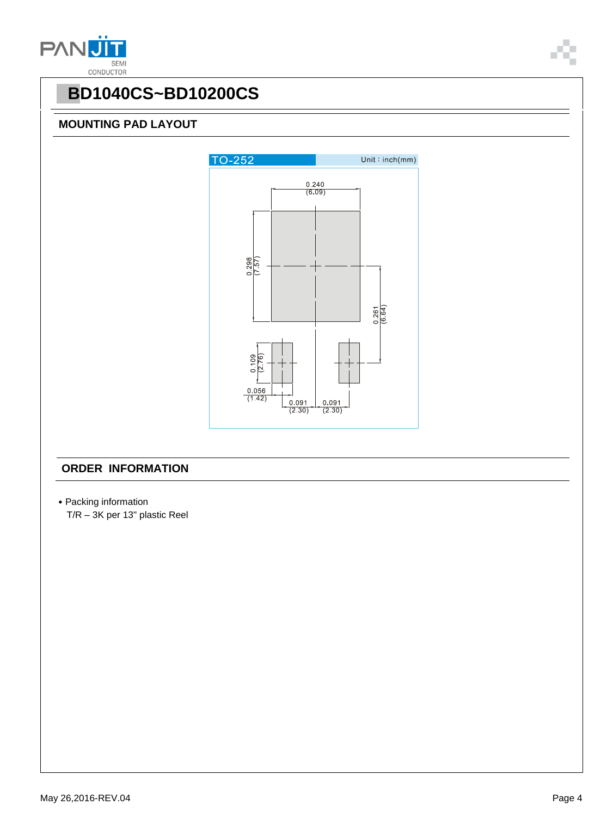



#### **MOUNTING PAD LAYOUT**



### **ORDER INFORMATION**

- ˙Packing information
	- T/R 3K per 13" plastic Reel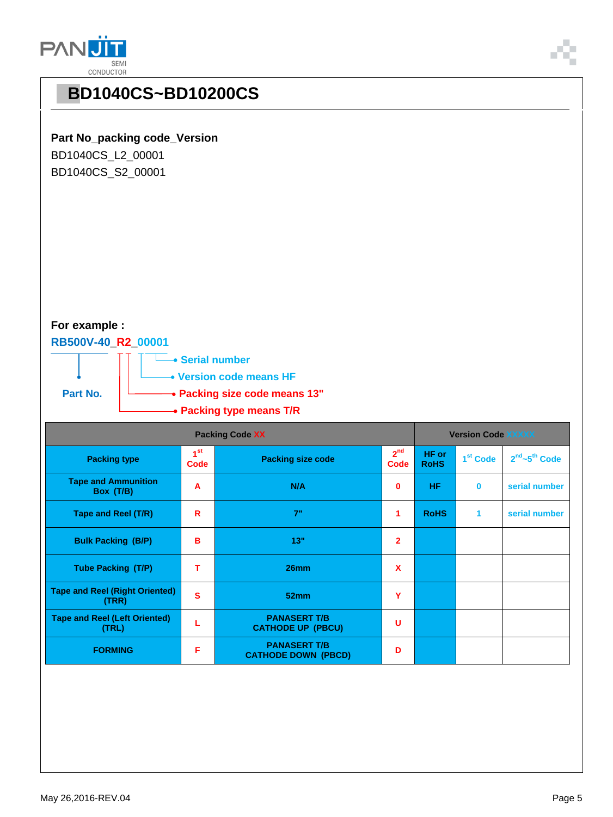



#### **Part No\_packing code\_Version**

BD1040CS\_L2\_00001 BD1040CS\_S2\_00001

### **For example :**

#### **RB500V-40\_R2\_00001**



| <b>Packing Code XX</b>                         |                         |                                                   |                         | <b>Version Code XXXXX</b> |                      |                                       |
|------------------------------------------------|-------------------------|---------------------------------------------------|-------------------------|---------------------------|----------------------|---------------------------------------|
| <b>Packing type</b>                            | 1 <sup>st</sup><br>Code | <b>Packing size code</b>                          | 2 <sup>nd</sup><br>Code | HF or<br><b>RoHS</b>      | 1 <sup>st</sup> Code | 2 <sup>nd</sup> ~5 <sup>th</sup> Code |
| <b>Tape and Ammunition</b><br>Box (T/B)        | A                       | N/A                                               | 0                       | HF.                       | $\bf{0}$             | serial number                         |
| Tape and Reel (T/R)                            | R                       | 7"                                                | 1                       | <b>RoHS</b>               | 1                    | serial number                         |
| <b>Bulk Packing (B/P)</b>                      | B                       | 13"                                               | $\mathbf{2}$            |                           |                      |                                       |
| <b>Tube Packing (T/P)</b>                      | т                       | 26mm                                              | X                       |                           |                      |                                       |
| <b>Tape and Reel (Right Oriented)</b><br>(TRR) | S                       | 52mm                                              | Y                       |                           |                      |                                       |
| <b>Tape and Reel (Left Oriented)</b><br>(TRL)  | L                       | <b>PANASERT T/B</b><br><b>CATHODE UP (PBCU)</b>   | U                       |                           |                      |                                       |
| <b>FORMING</b>                                 | F                       | <b>PANASERT T/B</b><br><b>CATHODE DOWN (PBCD)</b> | D                       |                           |                      |                                       |